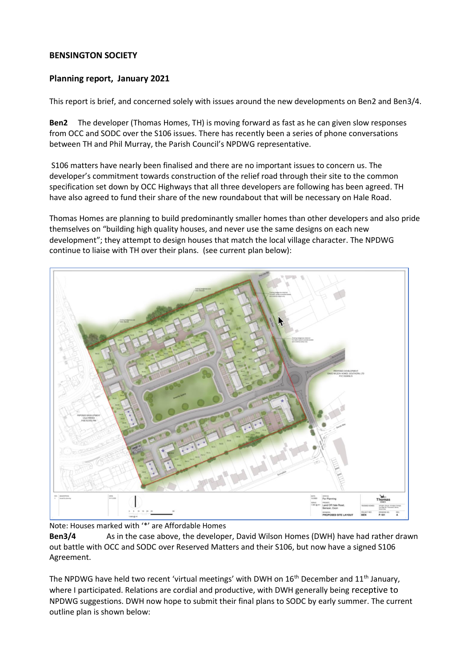## **BENSINGTON SOCIETY**

## **Planning report, January 2021**

This report is brief, and concerned solely with issues around the new developments on Ben2 and Ben3/4.

**Ben2** The developer (Thomas Homes, TH) is moving forward as fast as he can given slow responses from OCC and SODC over the S106 issues. There has recently been a series of phone conversations between TH and Phil Murray, the Parish Council's NPDWG representative.

S106 matters have nearly been finalised and there are no important issues to concern us. The developer's commitment towards construction of the relief road through their site to the common specification set down by OCC Highways that all three developers are following has been agreed. TH have also agreed to fund their share of the new roundabout that will be necessary on Hale Road.

Thomas Homes are planning to build predominantly smaller homes than other developers and also pride themselves on "building high quality houses, and never use the same designs on each new development"; they attempt to design houses that match the local village character. The NPDWG continue to liaise with TH over their plans. (see current plan below):



Note: Houses marked with '\*' are Affordable Homes

**Ben3/4** As in the case above, the developer, David Wilson Homes (DWH) have had rather drawn out battle with OCC and SODC over Reserved Matters and their S106, but now have a signed S106 Agreement.

The NPDWG have held two recent 'virtual meetings' with DWH on 16<sup>th</sup> December and 11<sup>th</sup> January, where I participated. Relations are cordial and productive, with DWH generally being receptive to NPDWG suggestions. DWH now hope to submit their final plans to SODC by early summer. The current outline plan is shown below: